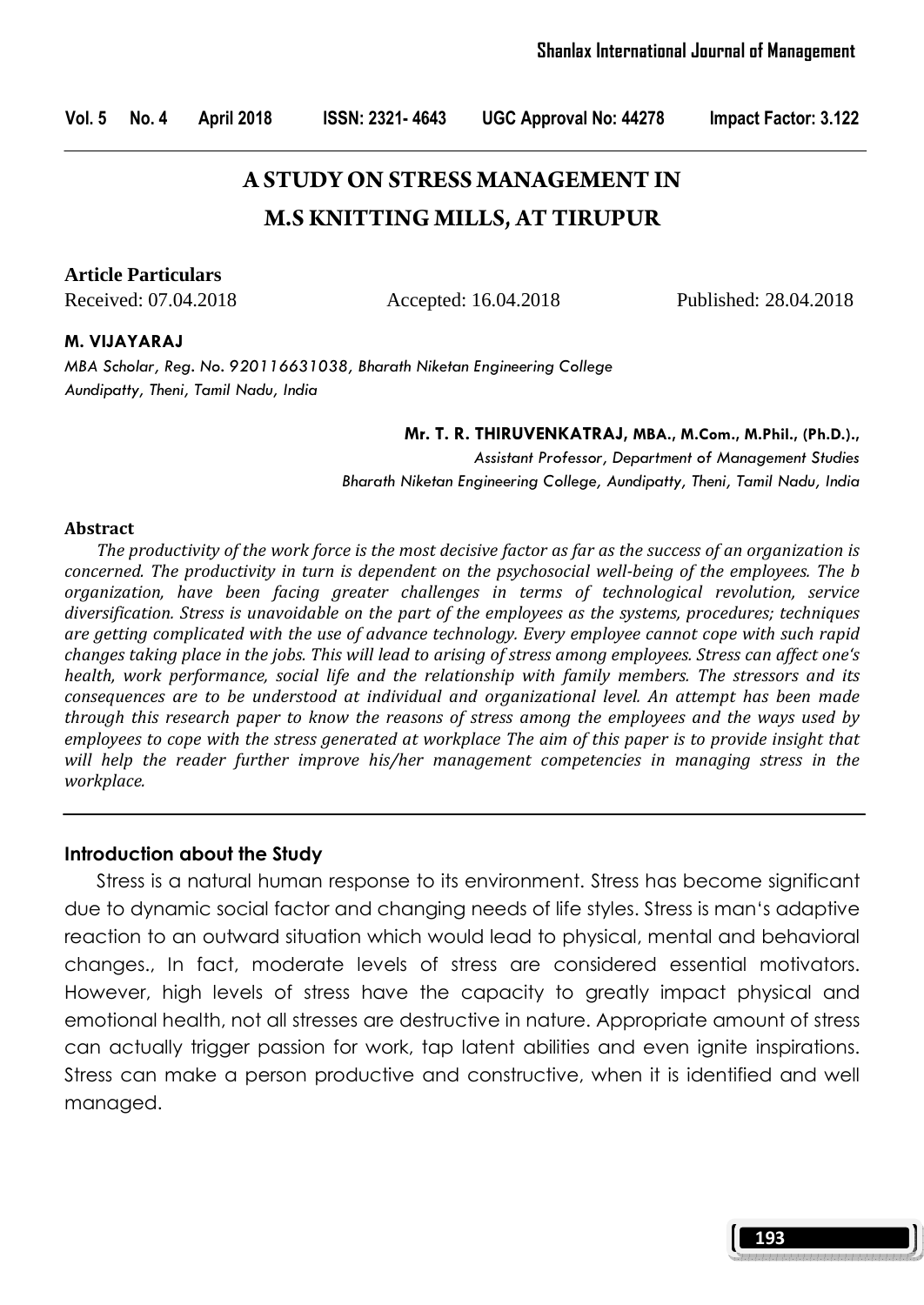# **A STUDY ON STRESS MANAGEMENT IN M.S KNITTING MILLS, AT TIRUPUR**

**Article Particulars**

Received: 07.04.2018 Accepted: 16.04.2018 Published: 28.04.2018

#### M. VIJAYARAJ

MBA Scholar, Reg. No. 920116631038, Bharath Niketan Engineering College Aundipatty, Theni, Tamil Nadu, India

Mr. T. R. THIRUVENKATRAJ, MBA., M.Com., M.Phil., (Ph.D.).,

Assistant Professor, Department of Management Studies Bharath Niketan Engineering College, Aundipatty, Theni, Tamil Nadu, India

#### Abstract

 The productivity of the work force is the most decisive factor as far as the success of an organization is concerned. The productivity in turn is dependent on the psychosocial well-being of the employees. The b organization, have been facing greater challenges in terms of technological revolution, service diversification. Stress is unavoidable on the part of the employees as the systems, procedures; techniques are getting complicated with the use of advance technology. Every employee cannot cope with such rapid changes taking place in the jobs. This will lead to arising of stress among employees. Stress can affect one's health, work performance, social life and the relationship with family members. The stressors and its consequences are to be understood at individual and organizational level. An attempt has been made through this research paper to know the reasons of stress among the employees and the ways used by employees to cope with the stress generated at workplace The aim of this paper is to provide insight that will help the reader further improve his/her management competencies in managing stress in the workplace.

#### Introduction about the Study

Stress is a natural human response to its environment. Stress has become significant due to dynamic social factor and changing needs of life styles. Stress is man's adaptive reaction to an outward situation which would lead to physical, mental and behavioral changes., In fact, moderate levels of stress are considered essential motivators. However, high levels of stress have the capacity to greatly impact physical and emotional health, not all stresses are destructive in nature. Appropriate amount of stress can actually trigger passion for work, tap latent abilities and even ignite inspirations. Stress can make a person productive and constructive, when it is identified and well managed.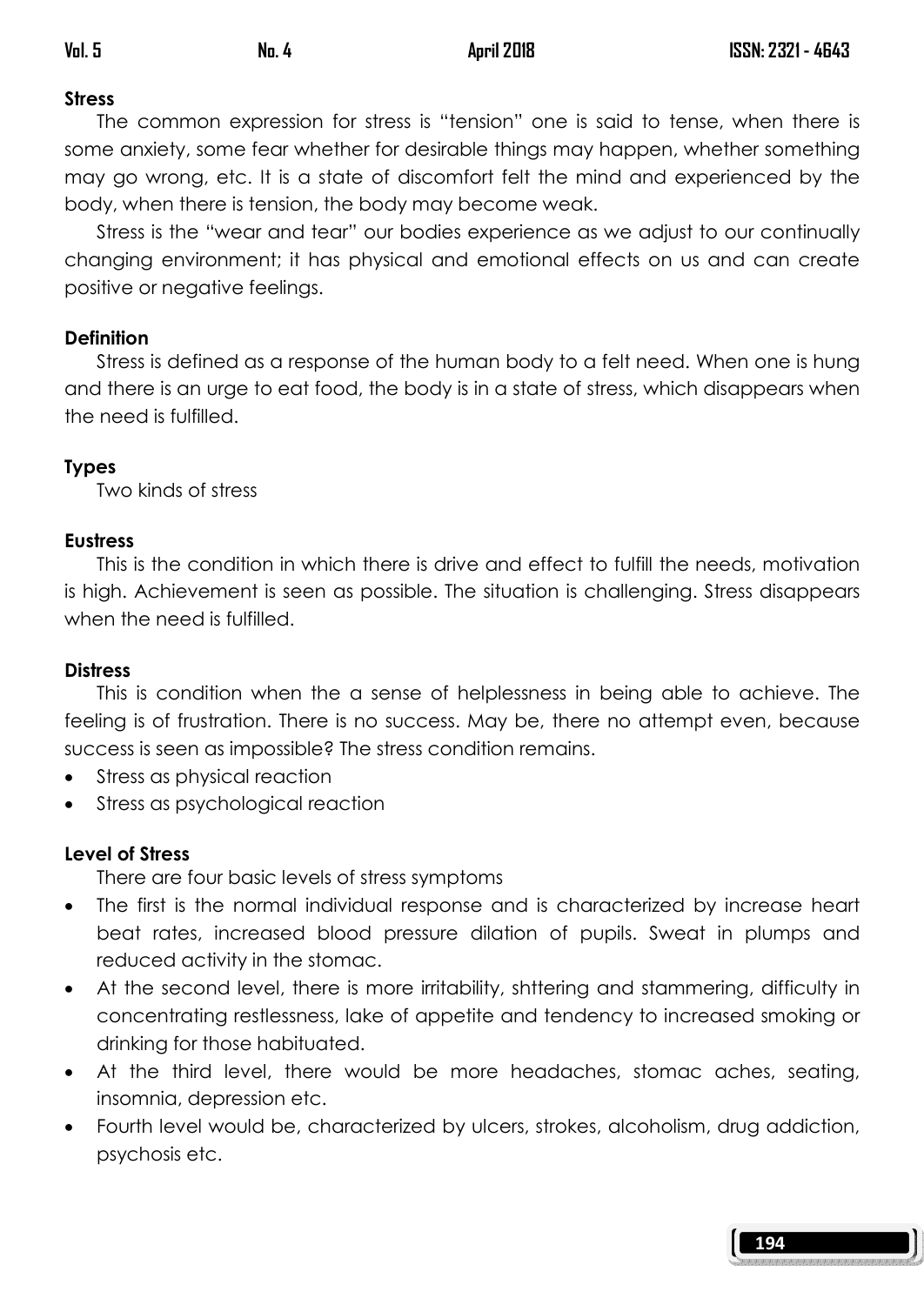# **Stress**

 The common expression for stress is "tension" one is said to tense, when there is some anxiety, some fear whether for desirable things may happen, whether something may go wrong, etc. It is a state of discomfort felt the mind and experienced by the body, when there is tension, the body may become weak.

 Stress is the "wear and tear" our bodies experience as we adjust to our continually changing environment; it has physical and emotional effects on us and can create positive or negative feelings.

# **Definition**

 Stress is defined as a response of the human body to a felt need. When one is hung and there is an urge to eat food, the body is in a state of stress, which disappears when the need is fulfilled.

# Types

Two kinds of stress

# **Eustress**

 This is the condition in which there is drive and effect to fulfill the needs, motivation is high. Achievement is seen as possible. The situation is challenging. Stress disappears when the need is fulfilled.

# **Distress**

 This is condition when the a sense of helplessness in being able to achieve. The feeling is of frustration. There is no success. May be, there no attempt even, because success is seen as impossible? The stress condition remains.

- Stress as physical reaction
- Stress as psychological reaction

# Level of Stress

There are four basic levels of stress symptoms

- The first is the normal individual response and is characterized by increase heart beat rates, increased blood pressure dilation of pupils. Sweat in plumps and reduced activity in the stomac.
- At the second level, there is more irritability, shttering and stammering, difficulty in concentrating restlessness, lake of appetite and tendency to increased smoking or drinking for those habituated.
- At the third level, there would be more headaches, stomac aches, seating, insomnia, depression etc.
- Fourth level would be, characterized by ulcers, strokes, alcoholism, drug addiction, psychosis etc.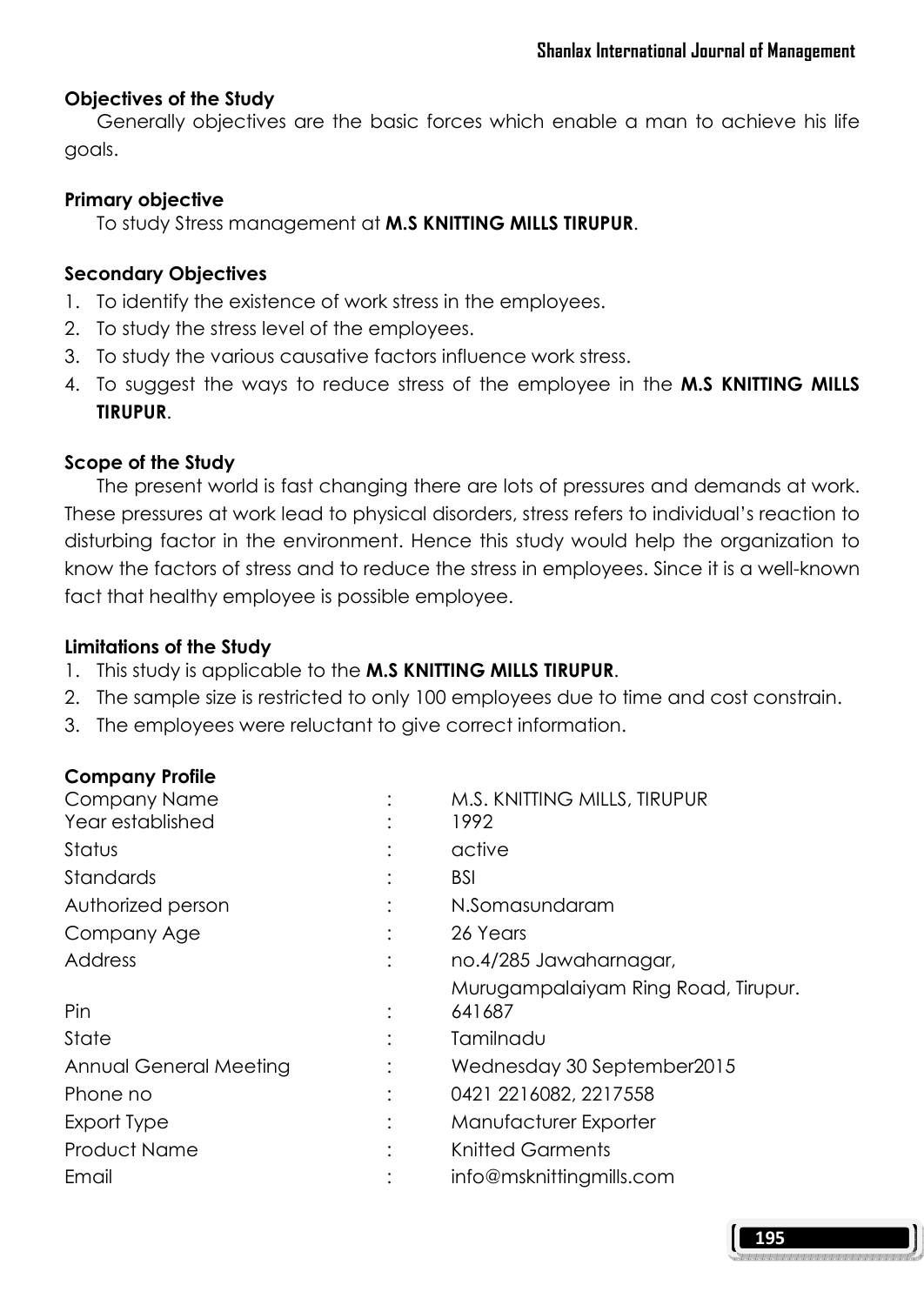#### Objectives of the Study

 Generally objectives are the basic forces which enable a man to achieve his life goals.

#### Primary objective

To study Stress management at M.S KNITTING MILLS TIRUPUR.

#### Secondary Objectives

- 1. To identify the existence of work stress in the employees.
- 2. To study the stress level of the employees.
- 3. To study the various causative factors influence work stress.
- 4. To suggest the ways to reduce stress of the employee in the M.S KNITTING MILLS TIRUPUR.

#### Scope of the Study

 The present world is fast changing there are lots of pressures and demands at work. These pressures at work lead to physical disorders, stress refers to individual's reaction to disturbing factor in the environment. Hence this study would help the organization to know the factors of stress and to reduce the stress in employees. Since it is a well-known fact that healthy employee is possible employee.

#### Limitations of the Study

- 1. This study is applicable to the M.S KNITTING MILLS TIRUPUR.
- 2. The sample size is restricted to only 100 employees due to time and cost constrain.
- 3. The employees were reluctant to give correct information.

#### Company Profile

| <b>Company Name</b>    | M.S. KNITTING MILLS, TIRUPUR        |
|------------------------|-------------------------------------|
| Year established       | 1992                                |
| Status                 | active                              |
| Standards              | BSI                                 |
| Authorized person      | N.Somasundaram                      |
| Company Age            | 26 Years                            |
| Address                | no.4/285 Jawaharnagar,              |
|                        | Murugampalaiyam Ring Road, Tirupur. |
| Pin                    | 641687                              |
| State                  | Tamilnadu                           |
| Annual General Meeting | Wednesday 30 September 2015         |
| Phone no               | 0421 2216082, 2217558               |
| Export Type            | Manufacturer Exporter               |
| <b>Product Name</b>    | <b>Knitted Garments</b>             |
| Email                  | info@msknittingmills.com            |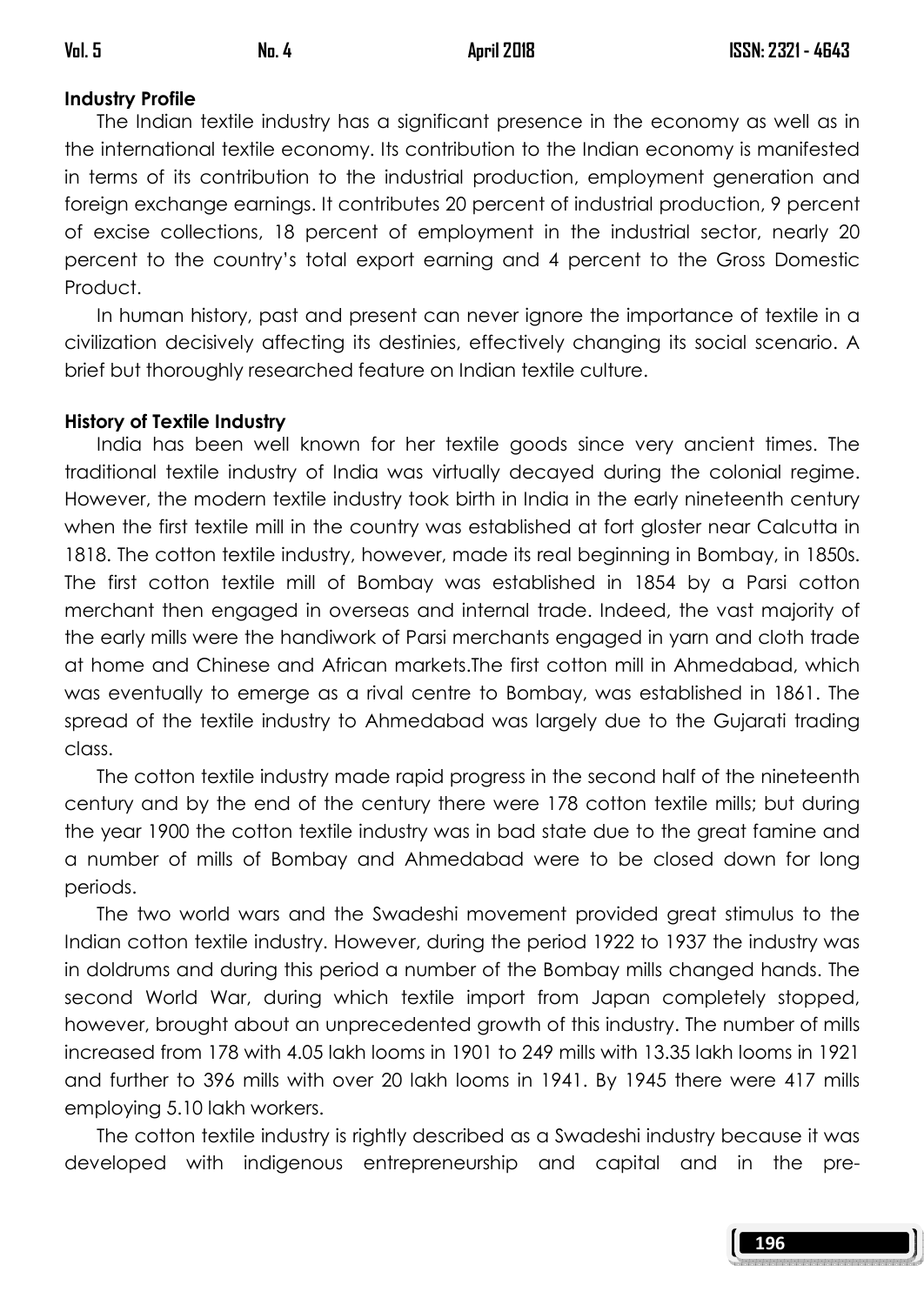## Industry Profile

 The Indian textile industry has a significant presence in the economy as well as in the international textile economy. Its contribution to the Indian economy is manifested in terms of its contribution to the industrial production, employment generation and foreign exchange earnings. It contributes 20 percent of industrial production, 9 percent of excise collections, 18 percent of employment in the industrial sector, nearly 20 percent to the country's total export earning and 4 percent to the Gross Domestic Product.

 In human history, past and present can never ignore the importance of textile in a civilization decisively affecting its destinies, effectively changing its social scenario. A brief but thoroughly researched feature on Indian textile culture.

### History of Textile Industry

 India has been well known for her textile goods since very ancient times. The traditional textile industry of India was virtually decayed during the colonial regime. However, the modern textile industry took birth in India in the early nineteenth century when the first textile mill in the country was established at fort gloster near Calcutta in 1818. The cotton textile industry, however, made its real beginning in Bombay, in 1850s. The first cotton textile mill of Bombay was established in 1854 by a Parsi cotton merchant then engaged in overseas and internal trade. Indeed, the vast majority of the early mills were the handiwork of Parsi merchants engaged in yarn and cloth trade at home and Chinese and African markets.The first cotton mill in Ahmedabad, which was eventually to emerge as a rival centre to Bombay, was established in 1861. The spread of the textile industry to Ahmedabad was largely due to the Gujarati trading class.

 The cotton textile industry made rapid progress in the second half of the nineteenth century and by the end of the century there were 178 cotton textile mills; but during the year 1900 the cotton textile industry was in bad state due to the great famine and a number of mills of Bombay and Ahmedabad were to be closed down for long periods.

 The two world wars and the Swadeshi movement provided great stimulus to the Indian cotton textile industry. However, during the period 1922 to 1937 the industry was in doldrums and during this period a number of the Bombay mills changed hands. The second World War, during which textile import from Japan completely stopped, however, brought about an unprecedented growth of this industry. The number of mills increased from 178 with 4.05 lakh looms in 1901 to 249 mills with 13.35 lakh looms in 1921 and further to 396 mills with over 20 lakh looms in 1941. By 1945 there were 417 mills employing 5.10 lakh workers.

 The cotton textile industry is rightly described as a Swadeshi industry because it was developed with indigenous entrepreneurship and capital and in the pre-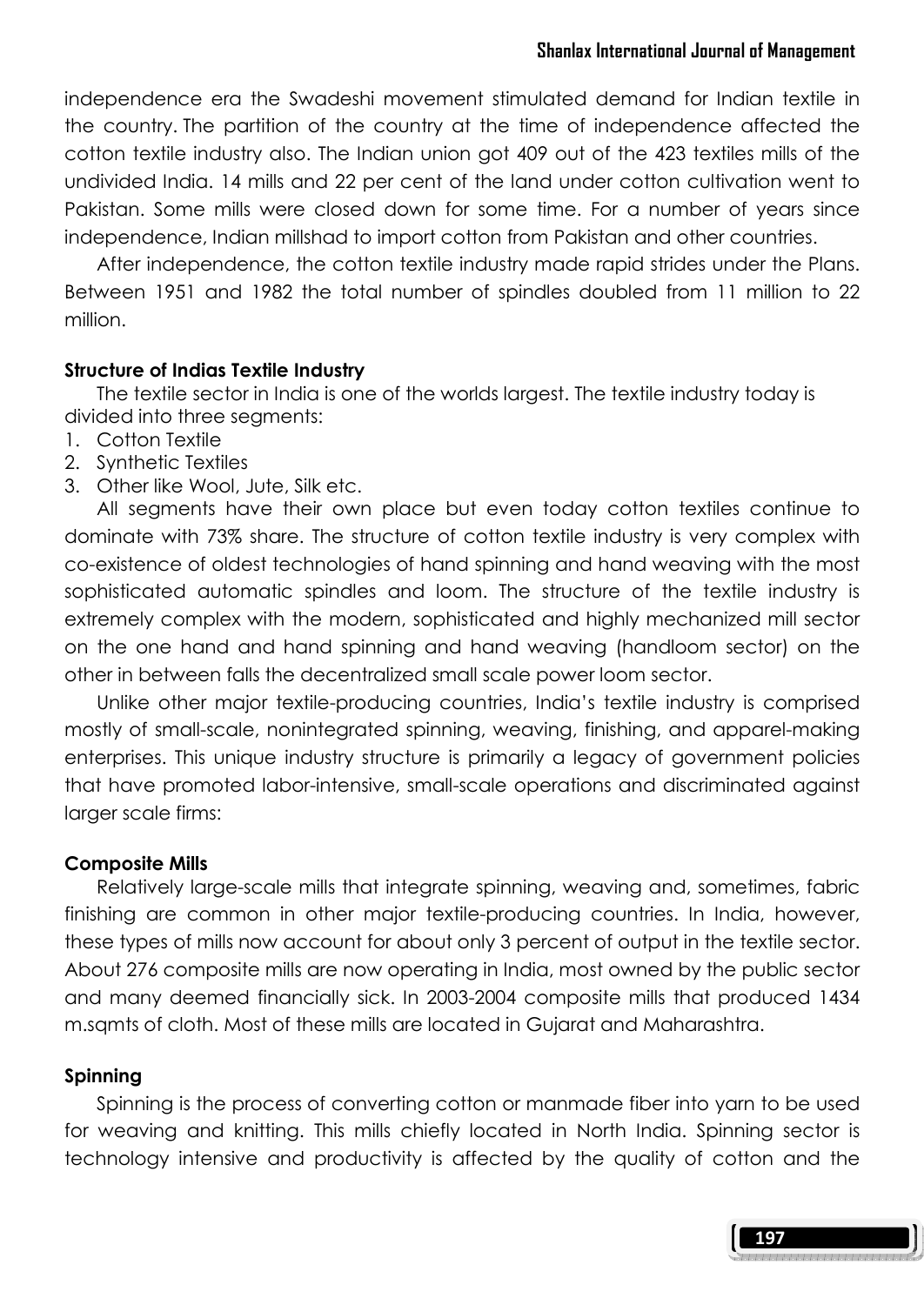independence era the Swadeshi movement stimulated demand for Indian textile in the country. The partition of the country at the time of independence affected the cotton textile industry also. The Indian union got 409 out of the 423 textiles mills of the undivided India. 14 mills and 22 per cent of the land under cotton cultivation went to Pakistan. Some mills were closed down for some time. For a number of years since independence, Indian millshad to import cotton from Pakistan and other countries.

 After independence, the cotton textile industry made rapid strides under the Plans. Between 1951 and 1982 the total number of spindles doubled from 11 million to 22 million.

#### Structure of Indias Textile Industry

 The textile sector in India is one of the worlds largest. The textile industry today is divided into three segments:

- 1. Cotton Textile
- 2. Synthetic Textiles
- 3. Other like Wool, Jute, Silk etc.

 All segments have their own place but even today cotton textiles continue to dominate with 73% share. The structure of cotton textile industry is very complex with co-existence of oldest technologies of hand spinning and hand weaving with the most sophisticated automatic spindles and loom. The structure of the textile industry is extremely complex with the modern, sophisticated and highly mechanized mill sector on the one hand and hand spinning and hand weaving (handloom sector) on the other in between falls the decentralized small scale power loom sector.

 Unlike other major textile-producing countries, India's textile industry is comprised mostly of small-scale, nonintegrated spinning, weaving, finishing, and apparel-making enterprises. This unique industry structure is primarily a legacy of government policies that have promoted labor-intensive, small-scale operations and discriminated against larger scale firms:

#### Composite Mills

 Relatively large-scale mills that integrate spinning, weaving and, sometimes, fabric finishing are common in other major textile-producing countries. In India, however, these types of mills now account for about only 3 percent of output in the textile sector. About 276 composite mills are now operating in India, most owned by the public sector and many deemed financially sick. In 2003-2004 composite mills that produced 1434 m.sqmts of cloth. Most of these mills are located in Gujarat and Maharashtra.

#### Spinning

 Spinning is the process of converting cotton or manmade fiber into yarn to be used for weaving and knitting. This mills chiefly located in North India. Spinning sector is technology intensive and productivity is affected by the quality of cotton and the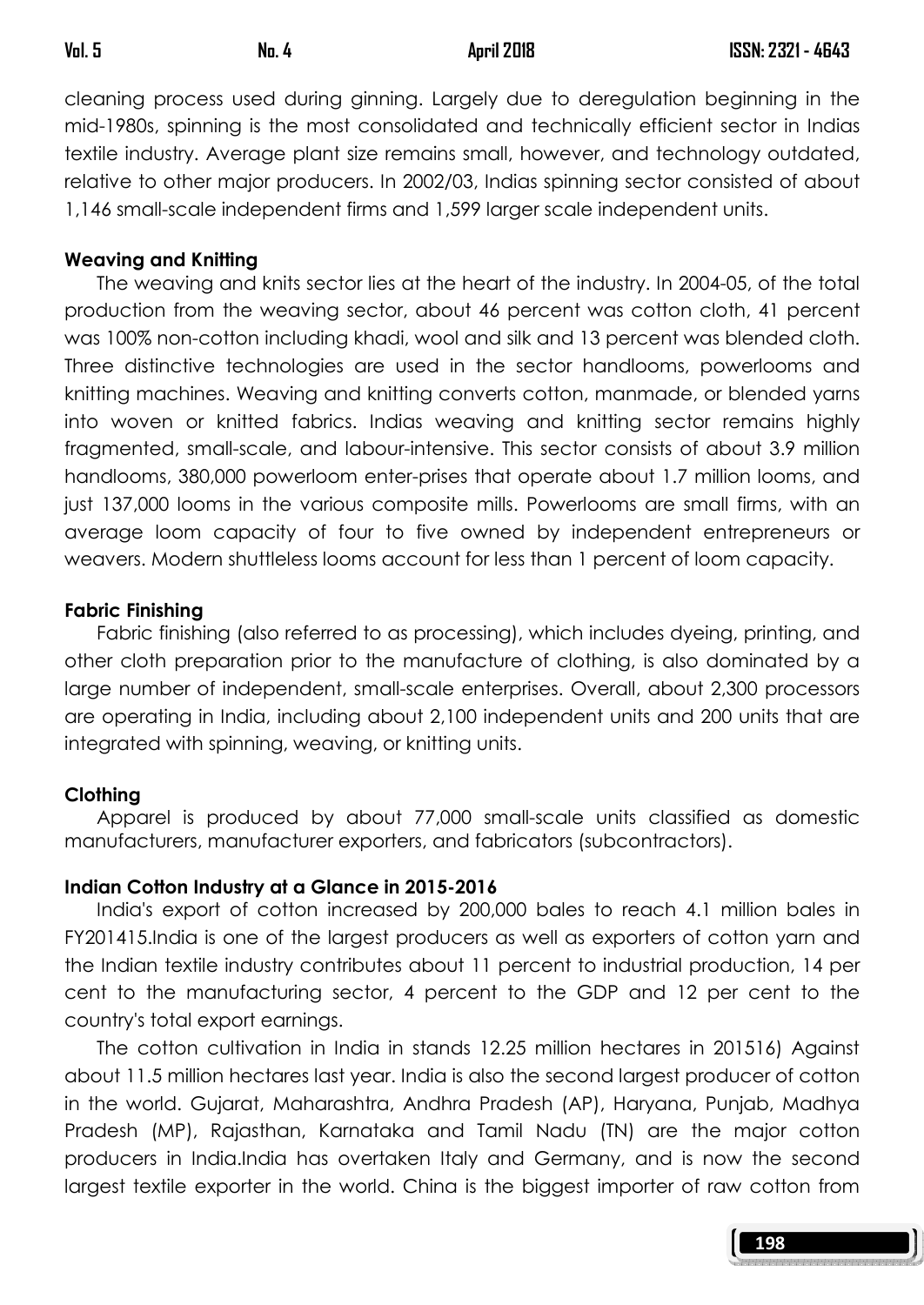cleaning process used during ginning. Largely due to deregulation beginning in the mid-1980s, spinning is the most consolidated and technically efficient sector in Indias textile industry. Average plant size remains small, however, and technology outdated, relative to other major producers. In 2002/03, Indias spinning sector consisted of about 1,146 small-scale independent firms and 1,599 larger scale independent units.

#### Weaving and Knitting

 The weaving and knits sector lies at the heart of the industry. In 2004-05, of the total production from the weaving sector, about 46 percent was cotton cloth, 41 percent was 100% non-cotton including khadi, wool and silk and 13 percent was blended cloth. Three distinctive technologies are used in the sector handlooms, powerlooms and knitting machines. Weaving and knitting converts cotton, manmade, or blended yarns into woven or knitted fabrics. Indias weaving and knitting sector remains highly fragmented, small-scale, and labour-intensive. This sector consists of about 3.9 million handlooms, 380,000 powerloom enter-prises that operate about 1.7 million looms, and just 137,000 looms in the various composite mills. Powerlooms are small firms, with an average loom capacity of four to five owned by independent entrepreneurs or weavers. Modern shuttleless looms account for less than 1 percent of loom capacity.

#### Fabric Finishing

 Fabric finishing (also referred to as processing), which includes dyeing, printing, and other cloth preparation prior to the manufacture of clothing, is also dominated by a large number of independent, small-scale enterprises. Overall, about 2,300 processors are operating in India, including about 2,100 independent units and 200 units that are integrated with spinning, weaving, or knitting units.

### Clothing

 Apparel is produced by about 77,000 small-scale units classified as domestic manufacturers, manufacturer exporters, and fabricators (subcontractors).

### Indian Cotton Industry at a Glance in 2015-2016

 India's export of cotton increased by 200,000 bales to reach 4.1 million bales in FY201415.India is one of the largest producers as well as exporters of cotton yarn and the Indian textile industry contributes about 11 percent to industrial production, 14 per cent to the manufacturing sector, 4 percent to the GDP and 12 per cent to the country's total export earnings.

 The cotton cultivation in India in stands 12.25 million hectares in 201516) Against about 11.5 million hectares last year. India is also the second largest producer of cotton in the world. Gujarat, Maharashtra, Andhra Pradesh (AP), Haryana, Punjab, Madhya Pradesh (MP), Rajasthan, Karnataka and Tamil Nadu (TN) are the major cotton producers in India.India has overtaken Italy and Germany, and is now the second largest textile exporter in the world. China is the biggest importer of raw cotton from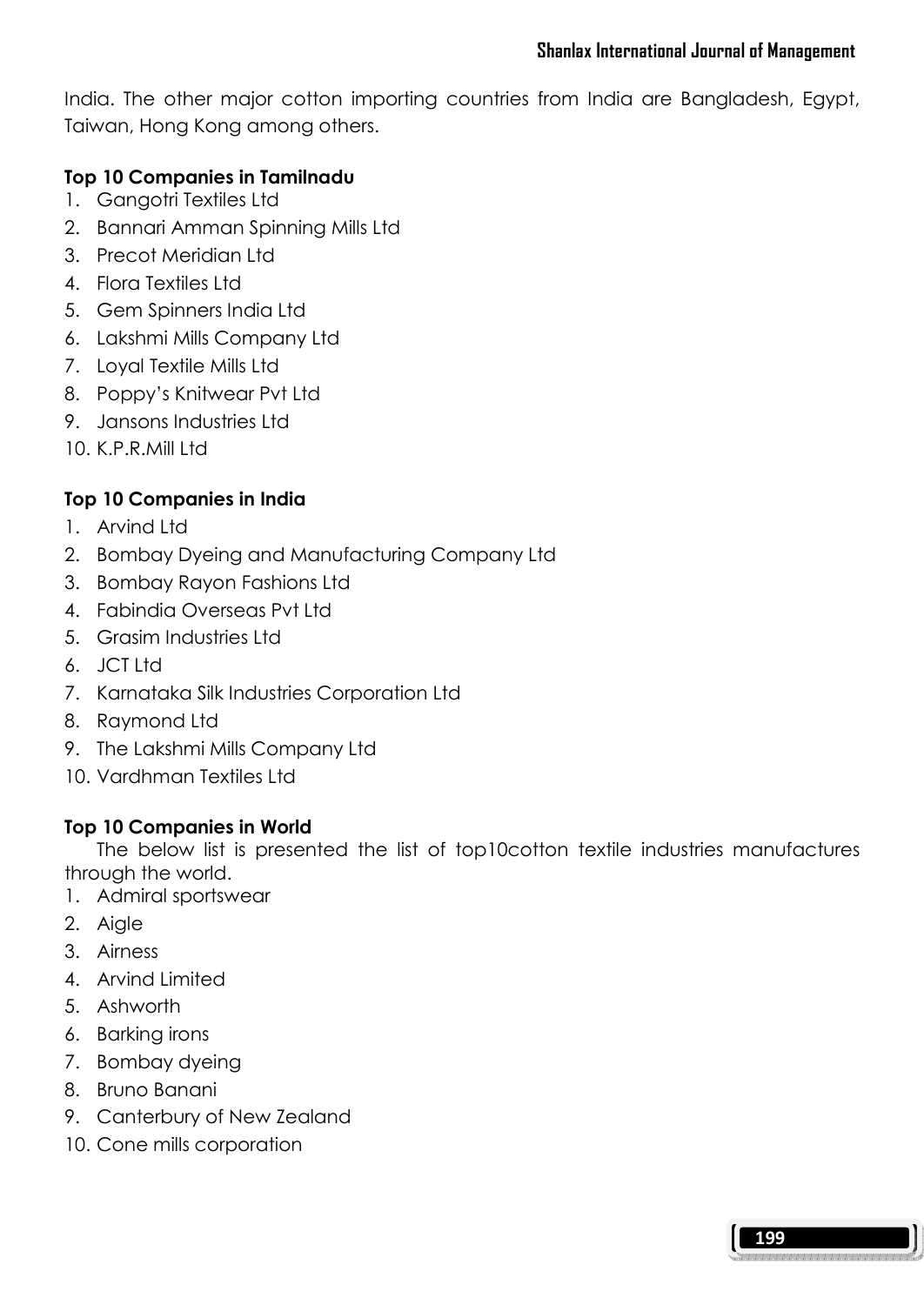India. The other major cotton importing countries from India are Bangladesh, Egypt, Taiwan, Hong Kong among others.

## Top 10 Companies in Tamilnadu

- 1. Gangotri Textiles Ltd
- 2. Bannari Amman Spinning Mills Ltd
- 3. Precot Meridian Ltd
- 4. Flora Textiles Ltd
- 5. Gem Spinners India Ltd
- 6. Lakshmi Mills Company Ltd
- 7. Loyal Textile Mills Ltd
- 8. Poppy's Knitwear Pvt Ltd
- 9. Jansons Industries Ltd
- 10. K.P.R.Mill Itd.

# Top 10 Companies in India

- 1. Arvind Ltd
- 2. Bombay Dyeing and Manufacturing Company Ltd
- 3. Bombay Rayon Fashions Ltd
- 4. Fabindia Overseas Pvt Ltd
- 5. Grasim Industries Ltd
- 6. JCT Ltd
- 7. Karnataka Silk Industries Corporation Ltd
- 8. Raymond Ltd
- 9. The Lakshmi Mills Company Ltd
- 10. Vardhman Textiles Ltd

### Top 10 Companies in World

 The below list is presented the list of top10cotton textile industries manufactures through the world.

- 1. Admiral sportswear
- 2. Aigle
- 3. Airness
- 4. Arvind Limited
- 5. Ashworth
- 6. Barking irons
- 7. Bombay dyeing
- 8. Bruno Banani
- 9. Canterbury of New Zealand
- 10. Cone mills corporation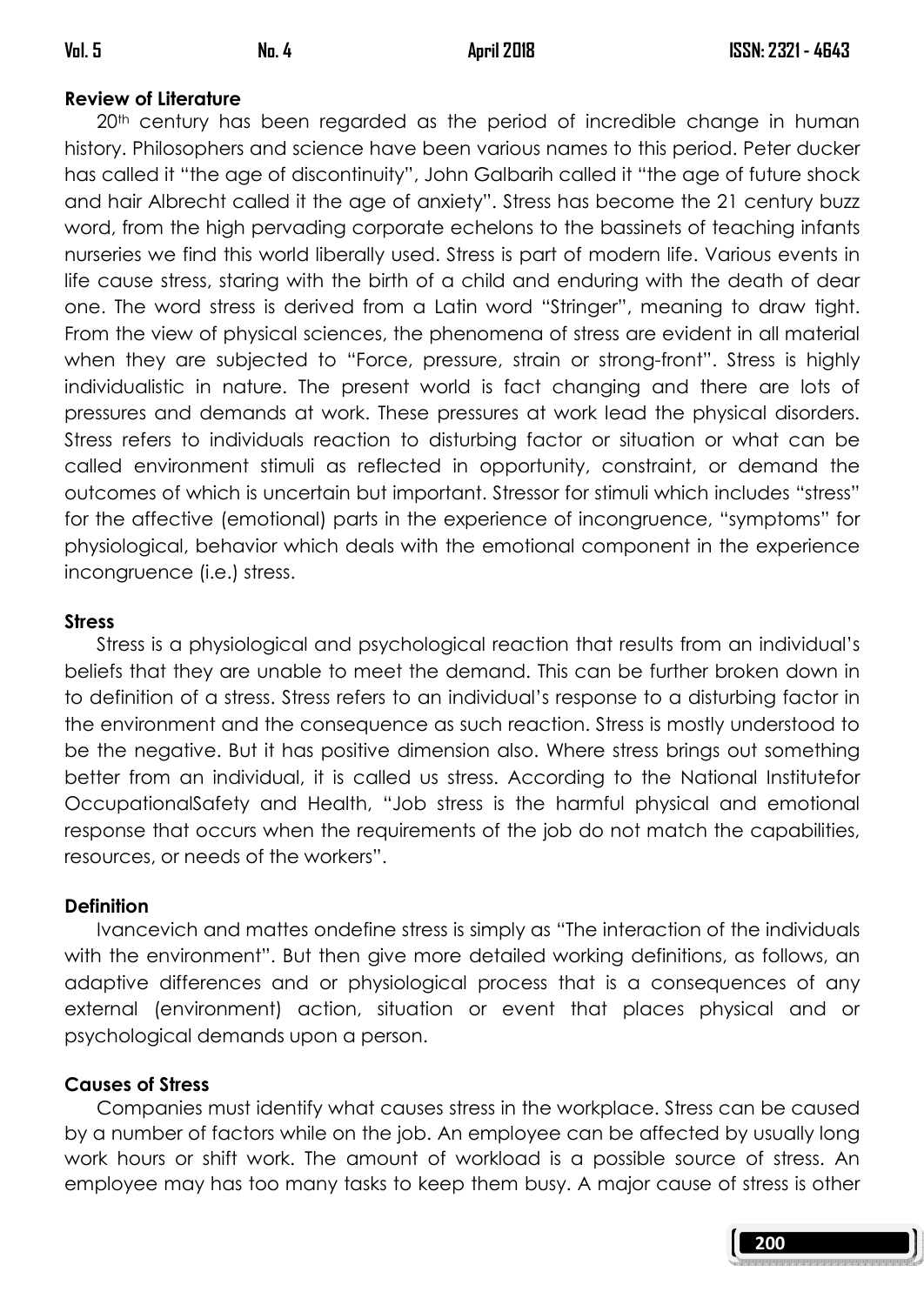200

## Review of Literature

20<sup>th</sup> century has been regarded as the period of incredible change in human history. Philosophers and science have been various names to this period. Peter ducker has called it "the age of discontinuity", John Galbarih called it "the age of future shock and hair Albrecht called it the age of anxiety". Stress has become the 21 century buzz word, from the high pervading corporate echelons to the bassinets of teaching infants nurseries we find this world liberally used. Stress is part of modern life. Various events in life cause stress, staring with the birth of a child and enduring with the death of dear one. The word stress is derived from a Latin word "Stringer", meaning to draw tight. From the view of physical sciences, the phenomena of stress are evident in all material when they are subjected to "Force, pressure, strain or strong-front". Stress is highly individualistic in nature. The present world is fact changing and there are lots of pressures and demands at work. These pressures at work lead the physical disorders. Stress refers to individuals reaction to disturbing factor or situation or what can be called environment stimuli as reflected in opportunity, constraint, or demand the outcomes of which is uncertain but important. Stressor for stimuli which includes "stress" for the affective (emotional) parts in the experience of incongruence, "symptoms" for physiological, behavior which deals with the emotional component in the experience incongruence (i.e.) stress.

### **Stress**

 Stress is a physiological and psychological reaction that results from an individual's beliefs that they are unable to meet the demand. This can be further broken down in to definition of a stress. Stress refers to an individual's response to a disturbing factor in the environment and the consequence as such reaction. Stress is mostly understood to be the negative. But it has positive dimension also. Where stress brings out something better from an individual, it is called us stress. According to the National Institutefor OccupationalSafety and Health, "Job stress is the harmful physical and emotional response that occurs when the requirements of the job do not match the capabilities, resources, or needs of the workers".

### **Definition**

 Ivancevich and mattes ondefine stress is simply as "The interaction of the individuals with the environment". But then give more detailed working definitions, as follows, an adaptive differences and or physiological process that is a consequences of any external (environment) action, situation or event that places physical and or psychological demands upon a person.

# Causes of Stress

 Companies must identify what causes stress in the workplace. Stress can be caused by a number of factors while on the job. An employee can be affected by usually long work hours or shift work. The amount of workload is a possible source of stress. An employee may has too many tasks to keep them busy. A major cause of stress is other